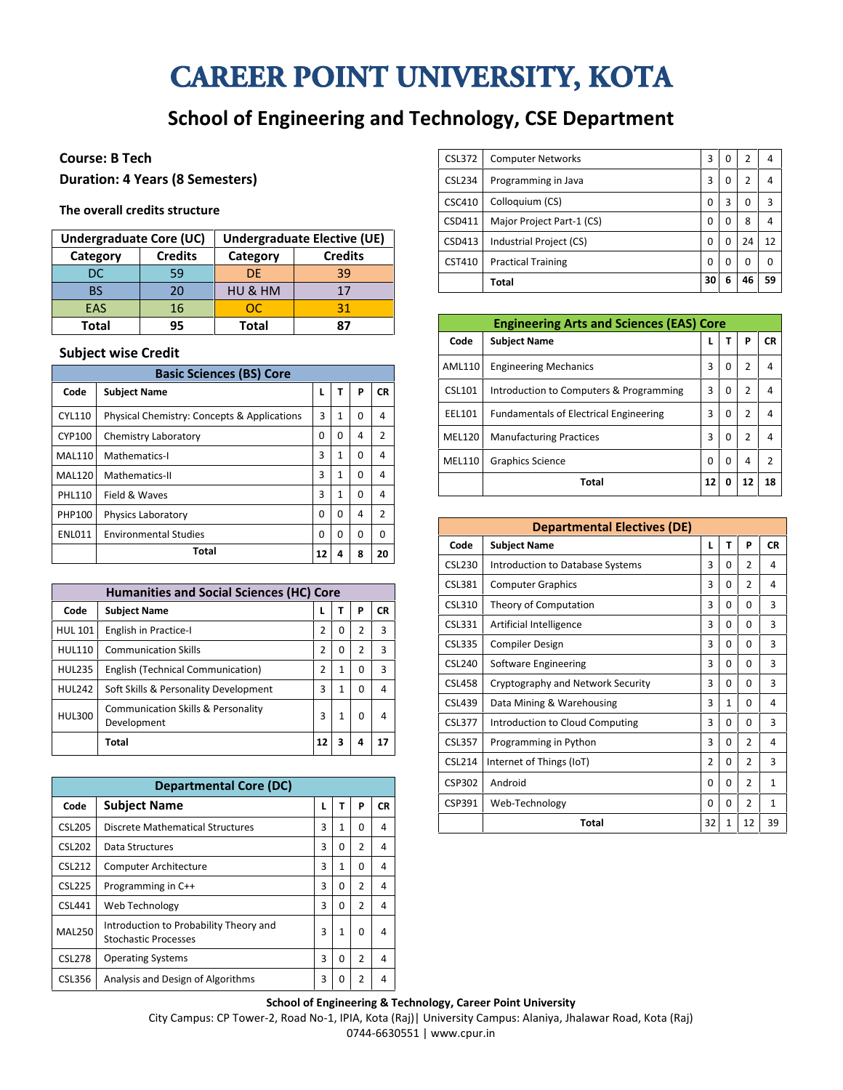# CAREER POINT UNIVERSITY, KOTA

## **School of Engineering and Technology, CSE Department**

#### **Course: B Tech**

**Duration: 4 Years (8 Semesters)**

#### **The overall credits structure**

| <b>Undergraduate Core (UC)</b> |                | Undergraduate Elective (UE) |                |  |  |  |  |
|--------------------------------|----------------|-----------------------------|----------------|--|--|--|--|
| Category                       | <b>Credits</b> | Category                    | <b>Credits</b> |  |  |  |  |
| DC                             | 59             | DE.                         | 39             |  |  |  |  |
| BS                             | 20             | HU & HM                     | 17             |  |  |  |  |
| EAS                            | 16             | ററ                          | 31             |  |  |  |  |
| Total                          | 95             | Total                       | 87             |  |  |  |  |

#### **Subject wise Credit**

| <b>Basic Sciences (BS) Core</b> |                                                        |          |          |   |                |  |  |
|---------------------------------|--------------------------------------------------------|----------|----------|---|----------------|--|--|
| Code                            | <b>Subject Name</b>                                    | L        | т        | P | <b>CR</b>      |  |  |
| <b>CYL110</b>                   | <b>Physical Chemistry: Concepts &amp; Applications</b> | 3        | 1        | 0 | 4              |  |  |
| <b>CYP100</b>                   | Chemistry Laboratory                                   | $\Omega$ | 0        | 4 | 2              |  |  |
| <b>MAL110</b>                   | Mathematics-I                                          | 3        | 1        | 0 | 4              |  |  |
| <b>MAL120</b>                   | Mathematics-II                                         | 3        | 1        | 0 | 4              |  |  |
| <b>PHL110</b>                   | Field & Waves                                          | 3        | 1        | 0 | 4              |  |  |
| PHP100                          | Physics Laboratory                                     | $\Omega$ | $\Omega$ | 4 | $\overline{2}$ |  |  |
| <b>ENL011</b>                   | <b>Environmental Studies</b>                           | $\Omega$ | $\Omega$ | 0 | $\Omega$       |  |  |
|                                 | Total                                                  | 12       | 4        | 8 | 20             |  |  |

| <b>Humanities and Social Sciences (HC) Core</b> |                                                   |                |              |                |           |  |  |
|-------------------------------------------------|---------------------------------------------------|----------------|--------------|----------------|-----------|--|--|
| Code                                            | <b>Subject Name</b>                               |                | т            | P              | <b>CR</b> |  |  |
| <b>HUL 101</b>                                  | English in Practice-I                             | 2              | 0            | $\overline{2}$ | 3         |  |  |
| <b>HUL110</b>                                   | <b>Communication Skills</b>                       | $\overline{2}$ | 0            | 2              | 3         |  |  |
| <b>HUL235</b>                                   | English (Technical Communication)                 | 2              | 1            | 0              | 3         |  |  |
| <b>HUL242</b>                                   | Soft Skills & Personality Development             | 3              | $\mathbf{1}$ | $\Omega$       | 4         |  |  |
| <b>HUL300</b>                                   | Communication Skills & Personality<br>Development | 3              | 1            | 0              | 4         |  |  |
|                                                 | Total                                             | 12             | 3            | 4              | 17        |  |  |

| <b>Departmental Core (DC)</b> |                                                                       |   |              |                |    |  |
|-------------------------------|-----------------------------------------------------------------------|---|--------------|----------------|----|--|
| Code                          | <b>Subject Name</b>                                                   |   | т            | P              | СR |  |
| <b>CSL205</b>                 | Discrete Mathematical Structures                                      | ς | 1            | O              | 4  |  |
| <b>CSL202</b>                 | Data Structures                                                       | 3 | 0            | $\overline{2}$ | 4  |  |
| <b>CSL212</b>                 | <b>Computer Architecture</b>                                          | 3 | $\mathbf{1}$ | 0              | 4  |  |
| <b>CSL225</b>                 | Programming in C++                                                    | 3 | 0            | 2              | 4  |  |
| <b>CSL441</b>                 | Web Technology                                                        | ς | 0            | $\overline{2}$ | 4  |  |
| <b>MAL250</b>                 | Introduction to Probability Theory and<br><b>Stochastic Processes</b> | 3 | $\mathbf{1}$ | 0              | 4  |  |
| <b>CSL278</b>                 | <b>Operating Systems</b>                                              | 3 | 0            | $\overline{2}$ | 4  |  |
| CSL356                        | Analysis and Design of Algorithms                                     | 3 | 0            | $\overline{2}$ | 4  |  |

| Programming in Java<br>3<br>2<br><b>CSL234</b><br>0<br>4<br>Colloquium (CS)<br>3<br>3<br>CSC410<br>0<br>0<br>Major Project Part-1 (CS)<br>CSD411<br>8<br>0<br>4<br>0<br>Industrial Project (CS)<br>12<br>CSD413<br>24<br>0<br>0<br>CST410<br><b>Practical Training</b><br>0<br>0<br>0<br>0 |
|--------------------------------------------------------------------------------------------------------------------------------------------------------------------------------------------------------------------------------------------------------------------------------------------|
|                                                                                                                                                                                                                                                                                            |
|                                                                                                                                                                                                                                                                                            |
|                                                                                                                                                                                                                                                                                            |
|                                                                                                                                                                                                                                                                                            |
|                                                                                                                                                                                                                                                                                            |
| 3<br><b>CSL372</b><br><b>Computer Networks</b><br>2<br>4<br>0                                                                                                                                                                                                                              |

| <b>Engineering Arts and Sciences (EAS) Core</b> |                                               |          |          |                |                |  |  |
|-------------------------------------------------|-----------------------------------------------|----------|----------|----------------|----------------|--|--|
| Code                                            | <b>Subject Name</b>                           | L        | т        | P              | <b>CR</b>      |  |  |
| AML110                                          | <b>Engineering Mechanics</b>                  | 3        | 0        | 2              | 4              |  |  |
| <b>CSL101</b>                                   | Introduction to Computers & Programming       | 3        | 0        | 2              | 4              |  |  |
| EEL101                                          | <b>Fundamentals of Electrical Engineering</b> | 3        | $\Omega$ | $\overline{2}$ | 4              |  |  |
| <b>MEL120</b>                                   | <b>Manufacturing Practices</b>                | 3        | $\Omega$ | $\overline{2}$ | 4              |  |  |
| MEL110                                          | Graphics Science                              | $\Omega$ | $\Omega$ | 4              | $\overline{2}$ |  |  |
|                                                 | Total                                         | 12       | 0        | 12             | 18             |  |  |

| <b>Departmental Electives (DE)</b> |                                   |                |              |                |              |  |  |
|------------------------------------|-----------------------------------|----------------|--------------|----------------|--------------|--|--|
| Code                               | <b>Subject Name</b>               | L              | Т            | P              | <b>CR</b>    |  |  |
| <b>CSL230</b>                      | Introduction to Database Systems  | 3              | $\Omega$     | $\overline{2}$ | 4            |  |  |
| <b>CSL381</b>                      | <b>Computer Graphics</b>          | 3              | $\Omega$     | $\mathcal{P}$  | 4            |  |  |
| CSL310                             | Theory of Computation             | 3              | $\Omega$     | 0              | 3            |  |  |
| CSL331                             | Artificial Intelligence           | 3              | $\Omega$     | 0              | 3            |  |  |
| <b>CSL335</b>                      | <b>Compiler Design</b>            | 3              | $\Omega$     | 0              | 3            |  |  |
| CSL240                             | Software Engineering              | 3              | $\Omega$     | 0              | 3            |  |  |
| <b>CSL458</b>                      | Cryptography and Network Security | 3              | $\Omega$     | 0              | 3            |  |  |
| <b>CSL439</b>                      | Data Mining & Warehousing         | 3              | $\mathbf{1}$ | 0              | 4            |  |  |
| <b>CSL377</b>                      | Introduction to Cloud Computing   | 3              | $\Omega$     | O              | ξ            |  |  |
| <b>CSL357</b>                      | Programming in Python             | 3              | $\Omega$     | 2              | 4            |  |  |
| <b>CSL214</b>                      | Internet of Things (IoT)          | $\overline{2}$ | $\Omega$     | $\overline{2}$ | 3            |  |  |
| <b>CSP302</b>                      | Android                           | $\Omega$       | $\Omega$     | $\mathfrak{p}$ | 1            |  |  |
| CSP391                             | Web-Technology                    | 0              | $\Omega$     | $\overline{2}$ | $\mathbf{1}$ |  |  |
|                                    | Total                             | 32             | $\mathbf{1}$ | 12             | 39           |  |  |

#### **School of Engineering & Technology, Career Point University**

City Campus: CP Tower-2, Road No-1, IPIA, Kota (Raj)| University Campus: Alaniya, Jhalawar Road, Kota (Raj) 0744-6630551 | www.cpur.in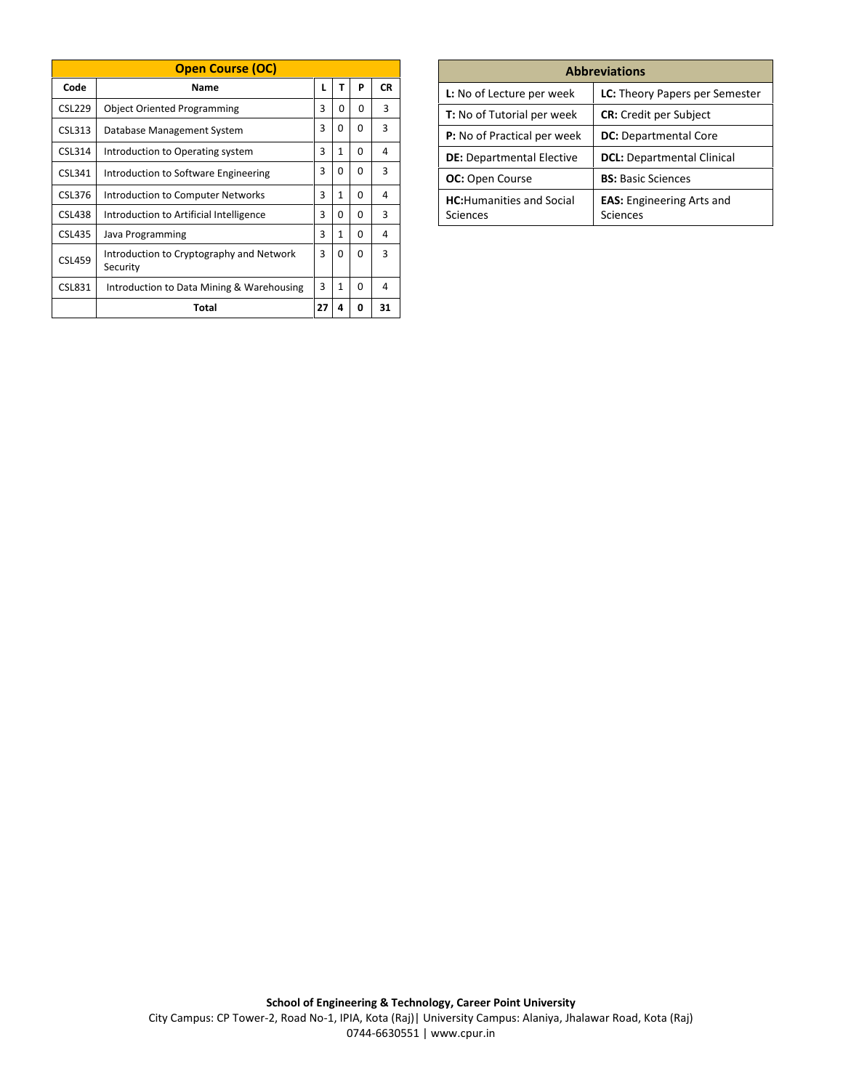| <b>Open Course (OC)</b> |                                                      |    |              |              |           |  |  |
|-------------------------|------------------------------------------------------|----|--------------|--------------|-----------|--|--|
| Code                    | Name                                                 | L  | т            | P            | <b>CR</b> |  |  |
| <b>CSL229</b>           | <b>Object Oriented Programming</b>                   | 3  | 0            | $\Omega$     | 3         |  |  |
| CSL313                  | Database Management System                           | 3  | $\Omega$     | 0            | 3         |  |  |
| CSL314                  | Introduction to Operating system                     | 3  | $\mathbf{1}$ | 0            | 4         |  |  |
| CSL341                  | Introduction to Software Engineering                 | 3  | $\Omega$     | $\Omega$     | 3         |  |  |
| CSL376                  | Introduction to Computer Networks                    | 3  | 1            | $\Omega$     | 4         |  |  |
| <b>CSL438</b>           | Introduction to Artificial Intelligence              | 3  | $\Omega$     | $\Omega$     | 3         |  |  |
| <b>CSL435</b>           | Java Programming                                     | 3  | 1            | $\Omega$     | 4         |  |  |
| <b>CSL459</b>           | Introduction to Cryptography and Network<br>Security | 3  | 0            | <sup>0</sup> | ξ         |  |  |
| <b>CSL831</b>           | Introduction to Data Mining & Warehousing            | 3  | 1            | $\Omega$     | 4         |  |  |
|                         | Total                                                | 27 | 4            | 0            | 31        |  |  |

| <b>Abbreviations</b>                         |                                              |  |  |  |  |  |
|----------------------------------------------|----------------------------------------------|--|--|--|--|--|
| L: No of Lecture per week                    | <b>LC:</b> Theory Papers per Semester        |  |  |  |  |  |
| <b>T:</b> No of Tutorial per week            | <b>CR:</b> Credit per Subject                |  |  |  |  |  |
| <b>P:</b> No of Practical per week           | <b>DC:</b> Departmental Core                 |  |  |  |  |  |
| <b>DE:</b> Departmental Elective             | <b>DCL:</b> Departmental Clinical            |  |  |  |  |  |
| <b>OC:</b> Open Course                       | <b>BS:</b> Basic Sciences                    |  |  |  |  |  |
| <b>HC:</b> Humanities and Social<br>Sciences | <b>EAS:</b> Engineering Arts and<br>Sciences |  |  |  |  |  |